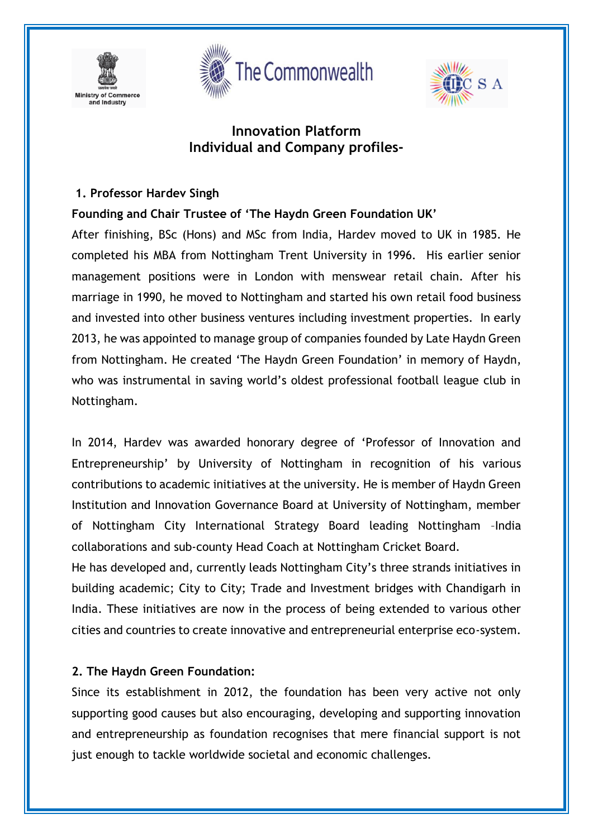





## **Innovation Platform Individual and Company profiles-**

#### **1. Professor Hardev Singh**

#### **Founding and Chair Trustee of 'The Haydn Green Foundation UK'**

After finishing, BSc (Hons) and MSc from India, Hardev moved to UK in 1985. He completed his MBA from Nottingham Trent University in 1996. His earlier senior management positions were in London with menswear retail chain. After his marriage in 1990, he moved to Nottingham and started his own retail food business and invested into other business ventures including investment properties. In early 2013, he was appointed to manage group of companies founded by Late Haydn Green from Nottingham. He created 'The Haydn Green Foundation' in memory of Haydn, who was instrumental in saving world's oldest professional football league club in Nottingham.

In 2014, Hardev was awarded honorary degree of 'Professor of Innovation and Entrepreneurship' by University of Nottingham in recognition of his various contributions to academic initiatives at the university. He is member of Haydn Green Institution and Innovation Governance Board at University of Nottingham, member of Nottingham City International Strategy Board leading Nottingham –India collaborations and sub-county Head Coach at Nottingham Cricket Board.

He has developed and, currently leads Nottingham City's three strands initiatives in building academic; City to City; Trade and Investment bridges with Chandigarh in India. These initiatives are now in the process of being extended to various other cities and countries to create innovative and entrepreneurial enterprise eco-system.

#### **2. The Haydn Green Foundation:**

Since its establishment in 2012, the foundation has been very active not only supporting good causes but also encouraging, developing and supporting innovation and entrepreneurship as foundation recognises that mere financial support is not just enough to tackle worldwide societal and economic challenges.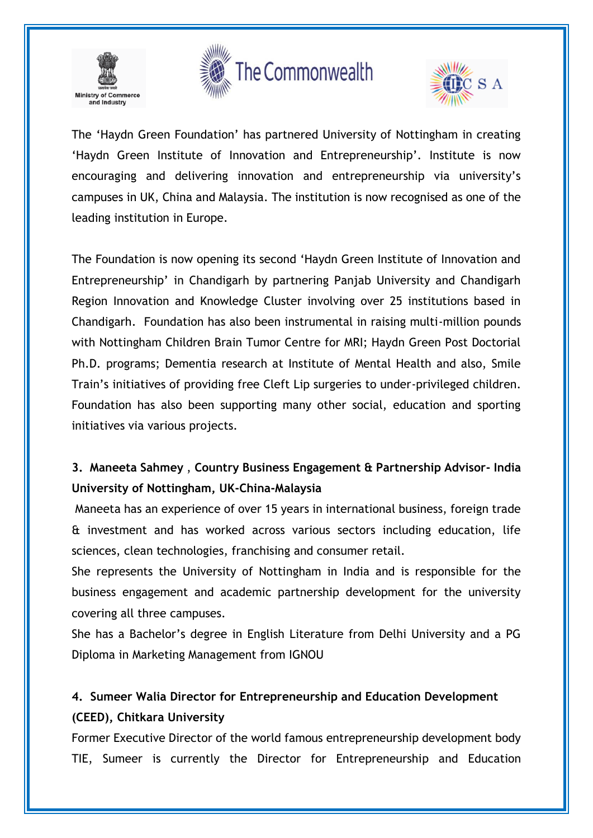





The 'Haydn Green Foundation' has partnered University of Nottingham in creating 'Haydn Green Institute of Innovation and Entrepreneurship'. Institute is now encouraging and delivering innovation and entrepreneurship via university's campuses in UK, China and Malaysia. The institution is now recognised as one of the leading institution in Europe.

The Foundation is now opening its second 'Haydn Green Institute of Innovation and Entrepreneurship' in Chandigarh by partnering Panjab University and Chandigarh Region Innovation and Knowledge Cluster involving over 25 institutions based in Chandigarh. Foundation has also been instrumental in raising multi-million pounds with Nottingham Children Brain Tumor Centre for MRI; Haydn Green Post Doctorial Ph.D. programs; Dementia research at Institute of Mental Health and also, Smile Train's initiatives of providing free Cleft Lip surgeries to under-privileged children. Foundation has also been supporting many other social, education and sporting initiatives via various projects.

# **3. Maneeta Sahmey** , **Country Business Engagement & Partnership Advisor- India University of Nottingham, UK-China-Malaysia**

Maneeta has an experience of over 15 years in international business, foreign trade & investment and has worked across various sectors including education, life sciences, clean technologies, franchising and consumer retail.

She represents the University of Nottingham in India and is responsible for the business engagement and academic partnership development for the university covering all three campuses.

She has a Bachelor's degree in English Literature from Delhi University and a PG Diploma in Marketing Management from IGNOU

## **4. Sumeer Walia Director for Entrepreneurship and Education Development (CEED), Chitkara University**

Former Executive Director of the world famous entrepreneurship development body TIE, Sumeer is currently the Director for Entrepreneurship and Education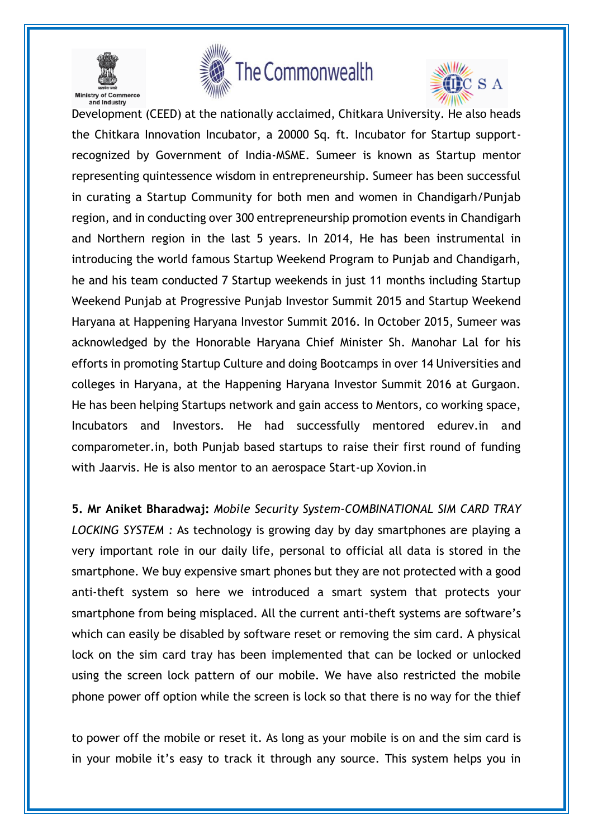

and Industry





l. Development (CEED) at the nationally acclaimed, Chitkara University. He also heads the Chitkara Innovation Incubator, a 20000 Sq. ft. Incubator for Startup supportrecognized by Government of India-MSME. Sumeer is known as Startup mentor representing quintessence wisdom in entrepreneurship. Sumeer has been successful in curating a Startup Community for both men and women in Chandigarh/Punjab region, and in conducting over 300 entrepreneurship promotion events in Chandigarh and Northern region in the last 5 years. In 2014, He has been instrumental in introducing the world famous Startup Weekend Program to Punjab and Chandigarh, he and his team conducted 7 Startup weekends in just 11 months including Startup Weekend Punjab at Progressive Punjab Investor Summit 2015 and Startup Weekend Haryana at Happening Haryana Investor Summit 2016. In October 2015, Sumeer was acknowledged by the Honorable Haryana Chief Minister Sh. Manohar Lal for his efforts in promoting Startup Culture and doing Bootcamps in over 14 Universities and colleges in Haryana, at the Happening Haryana Investor Summit 2016 at Gurgaon. He has been helping Startups network and gain access to Mentors, co working space, Incubators and Investors. He had successfully mentored edurev.in and comparometer.in, both Punjab based startups to raise their first round of funding with Jaarvis. He is also mentor to an aerospace Start-up Xovion.in

**5. Mr Aniket Bharadwaj:** *Mobile Security System-COMBINATIONAL SIM CARD TRAY LOCKING SYSTEM :* As technology is growing day by day smartphones are playing a very important role in our daily life, personal to official all data is stored in the smartphone. We buy expensive smart phones but they are not protected with a good anti-theft system so here we introduced a smart system that protects your smartphone from being misplaced. All the current anti-theft systems are software's which can easily be disabled by software reset or removing the sim card. A physical lock on the sim card tray has been implemented that can be locked or unlocked using the screen lock pattern of our mobile. We have also restricted the mobile phone power off option while the screen is lock so that there is no way for the thief

to power off the mobile or reset it. As long as your mobile is on and the sim card is in your mobile it's easy to track it through any source. This system helps you in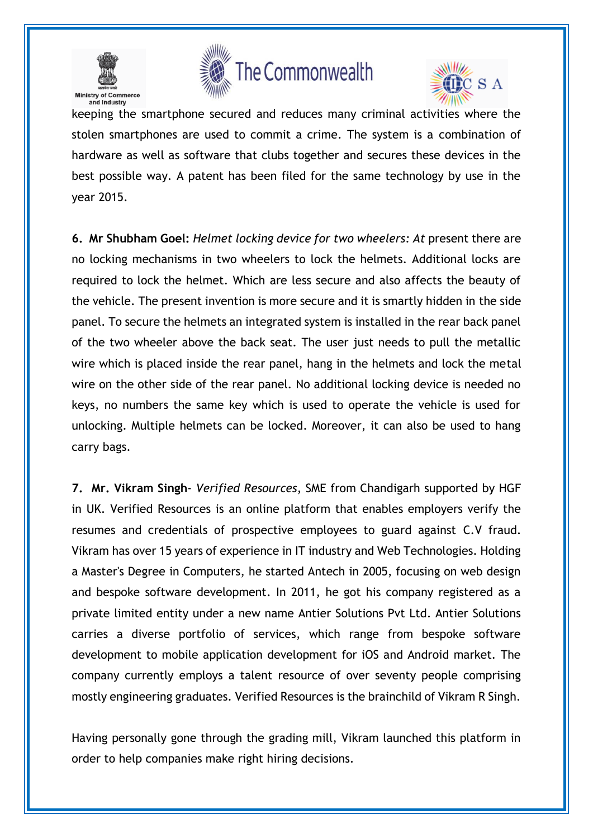





keeping the smartphone secured and reduces many criminal activities where the stolen smartphones are used to commit a crime. The system is a combination of hardware as well as software that clubs together and secures these devices in the best possible way. A patent has been filed for the same technology by use in the year 2015.

**6. Mr Shubham Goel:** *Helmet locking device for two wheelers: At* present there are no locking mechanisms in two wheelers to lock the helmets. Additional locks are required to lock the helmet. Which are less secure and also affects the beauty of the vehicle. The present invention is more secure and it is smartly hidden in the side panel. To secure the helmets an integrated system is installed in the rear back panel of the two wheeler above the back seat. The user just needs to pull the metallic wire which is placed inside the rear panel, hang in the helmets and lock the metal wire on the other side of the rear panel. No additional locking device is needed no keys, no numbers the same key which is used to operate the vehicle is used for unlocking. Multiple helmets can be locked. Moreover, it can also be used to hang carry bags.

**7. Mr. Vikram Singh**- *Verified Resources*, SME from Chandigarh supported by HGF in UK. Verified Resources is an online platform that enables employers verify the resumes and credentials of prospective employees to guard against C.V fraud. Vikram has over 15 years of experience in IT industry and Web Technologies. Holding a Master's Degree in Computers, he started Antech in 2005, focusing on web design and bespoke software development. In 2011, he got his company registered as a private limited entity under a new name Antier Solutions Pvt Ltd. Antier Solutions carries a diverse portfolio of services, which range from bespoke software development to mobile application development for iOS and Android market. The company currently employs a talent resource of over seventy people comprising mostly engineering graduates. Verified Resources is the brainchild of Vikram R Singh.

Having personally gone through the grading mill, Vikram launched this platform in order to help companies make right hiring decisions.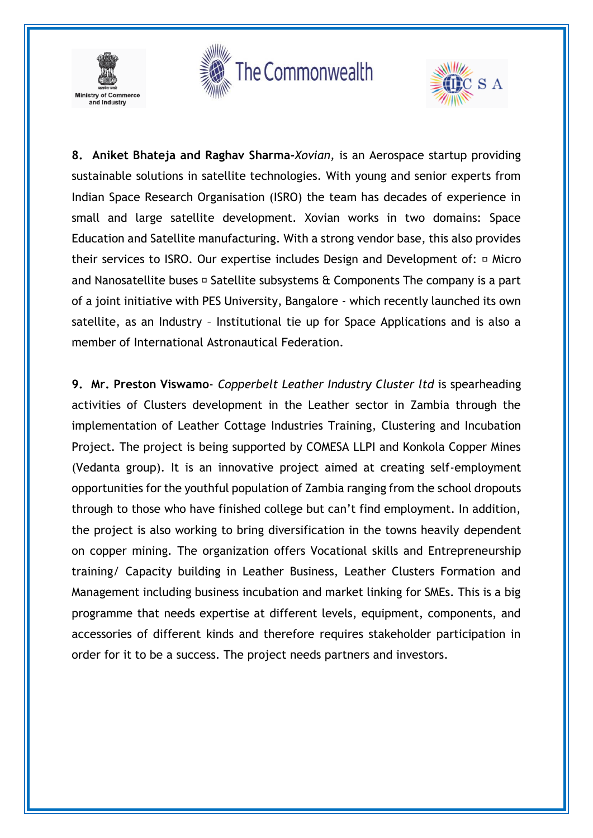





**8. Aniket Bhateja and Raghav Sharma-***Xovian,* is an Aerospace startup providing sustainable solutions in satellite technologies. With young and senior experts from Indian Space Research Organisation (ISRO) the team has decades of experience in small and large satellite development. Xovian works in two domains: Space Education and Satellite manufacturing. With a strong vendor base, this also provides their services to ISRO. Our expertise includes Design and Development of:  $\Box$  Micro and Nanosatellite buses  $\Box$  Satellite subsystems & Components The company is a part of a joint initiative with PES University, Bangalore - which recently launched its own satellite, as an Industry – Institutional tie up for Space Applications and is also a member of International Astronautical Federation.

**9. Mr. Preston Viswamo**- *Copperbelt Leather Industry Cluster ltd* is spearheading activities of Clusters development in the Leather sector in Zambia through the implementation of Leather Cottage Industries Training, Clustering and Incubation Project. The project is being supported by COMESA LLPI and Konkola Copper Mines (Vedanta group). It is an innovative project aimed at creating self-employment opportunities for the youthful population of Zambia ranging from the school dropouts through to those who have finished college but can't find employment. In addition, the project is also working to bring diversification in the towns heavily dependent on copper mining. The organization offers Vocational skills and Entrepreneurship training/ Capacity building in Leather Business, Leather Clusters Formation and Management including business incubation and market linking for SMEs. This is a big programme that needs expertise at different levels, equipment, components, and accessories of different kinds and therefore requires stakeholder participation in order for it to be a success. The project needs partners and investors.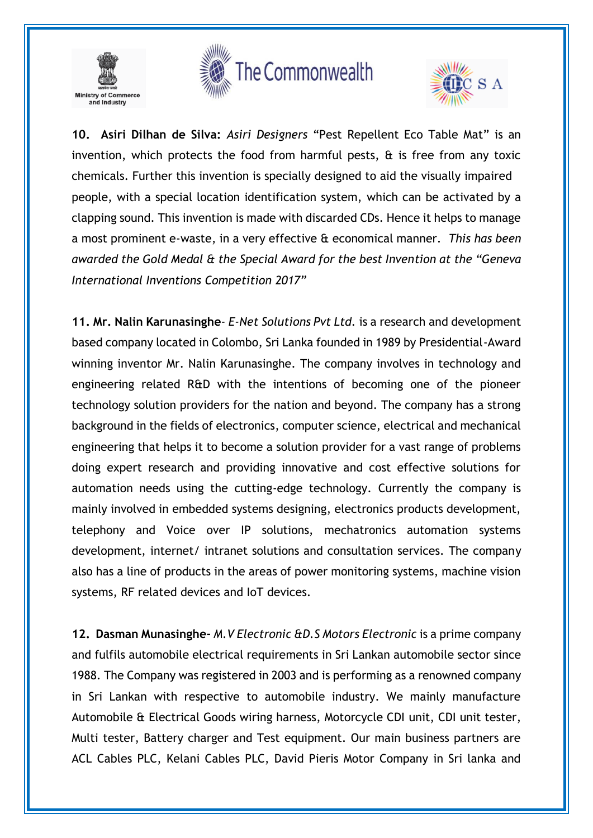

# The Commonwealth



**10. Asiri Dilhan de Silva:** *Asiri Designers* "Pest Repellent Eco Table Mat" is an invention, which protects the food from harmful pests,  $\hat{\alpha}$  is free from any toxic chemicals. Further this invention is specially designed to aid the visually impaired people, with a special location identification system, which can be activated by a clapping sound. This invention is made with discarded CDs. Hence it helps to manage a most prominent e-waste, in a very effective & economical manner. *This has been awarded the Gold Medal & the Special Award for the best Invention at the "Geneva International Inventions Competition 2017"*

**11. Mr. Nalin Karunasinghe**- *E-Net Solutions Pvt Ltd.* is a research and development based company located in Colombo, Sri Lanka founded in 1989 by Presidential-Award winning inventor Mr. Nalin Karunasinghe. The company involves in technology and engineering related R&D with the intentions of becoming one of the pioneer technology solution providers for the nation and beyond. The company has a strong background in the fields of electronics, computer science, electrical and mechanical engineering that helps it to become a solution provider for a vast range of problems doing expert research and providing innovative and cost effective solutions for automation needs using the cutting-edge technology. Currently the company is mainly involved in embedded systems designing, electronics products development, telephony and Voice over IP solutions, mechatronics automation systems development, internet/ intranet solutions and consultation services. The company also has a line of products in the areas of power monitoring systems, machine vision systems, RF related devices and IoT devices.

**12. Dasman Munasinghe-** *M.V Electronic &D.S Motors Electronic* is a prime company and fulfils automobile electrical requirements in Sri Lankan automobile sector since 1988. The Company was registered in 2003 and is performing as a renowned company in Sri Lankan with respective to automobile industry. We mainly manufacture Automobile & Electrical Goods wiring harness, Motorcycle CDI unit, CDI unit tester, Multi tester, Battery charger and Test equipment. Our main business partners are ACL Cables PLC, Kelani Cables PLC, David Pieris Motor Company in Sri lanka and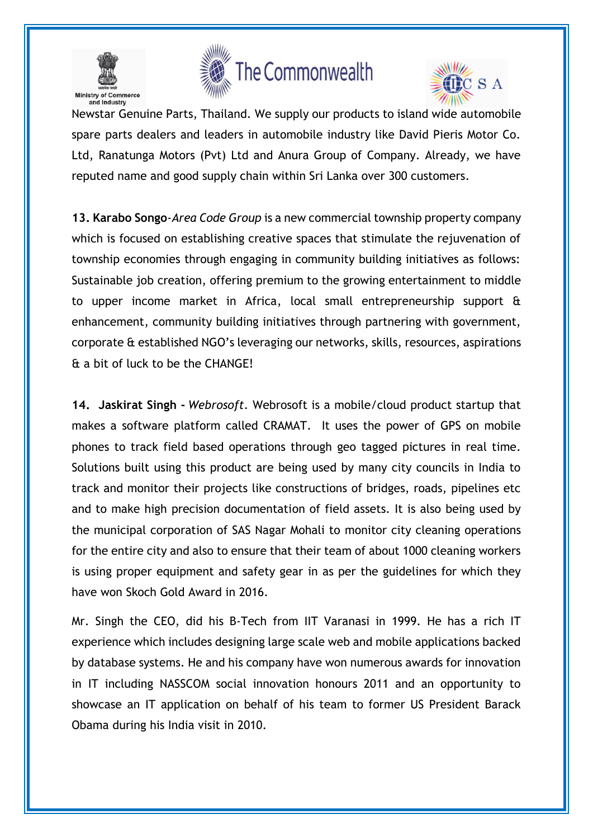





l. Newstar Genuine Parts, Thailand. We supply our products to island wide automobile spare parts dealers and leaders in automobile industry like David Pieris Motor Co. Ltd, Ranatunga Motors (Pvt) Ltd and Anura Group of Company. Already, we have reputed name and good supply chain within Sri Lanka over 300 customers.

**13. Karabo Songo**-*Area Code Group* is a new commercial township property company which is focused on establishing creative spaces that stimulate the rejuvenation of township economies through engaging in community building initiatives as follows: Sustainable job creation, offering premium to the growing entertainment to middle to upper income market in Africa, local small entrepreneurship support & enhancement, community building initiatives through partnering with government, corporate & established NGO's leveraging our networks, skills, resources, aspirations & a bit of luck to be the CHANGE!

**14. Jaskirat Singh -** *Webrosoft*. Webrosoft is a mobile/cloud product startup that makes a software platform called CRAMAT. It uses the power of GPS on mobile phones to track field based operations through geo tagged pictures in real time. Solutions built using this product are being used by many city councils in India to track and monitor their projects like constructions of bridges, roads, pipelines etc and to make high precision documentation of field assets. It is also being used by the municipal corporation of SAS Nagar Mohali to monitor city cleaning operations for the entire city and also to ensure that their team of about 1000 cleaning workers is using proper equipment and safety gear in as per the guidelines for which they have won Skoch Gold Award in 2016.

Mr. Singh the CEO, did his B-Tech from IIT Varanasi in 1999. He has a rich IT experience which includes designing large scale web and mobile applications backed by database systems. He and his company have won numerous awards for innovation in IT including NASSCOM social innovation honours 2011 and an opportunity to showcase an IT application on behalf of his team to former US President Barack Obama during his India visit in 2010.